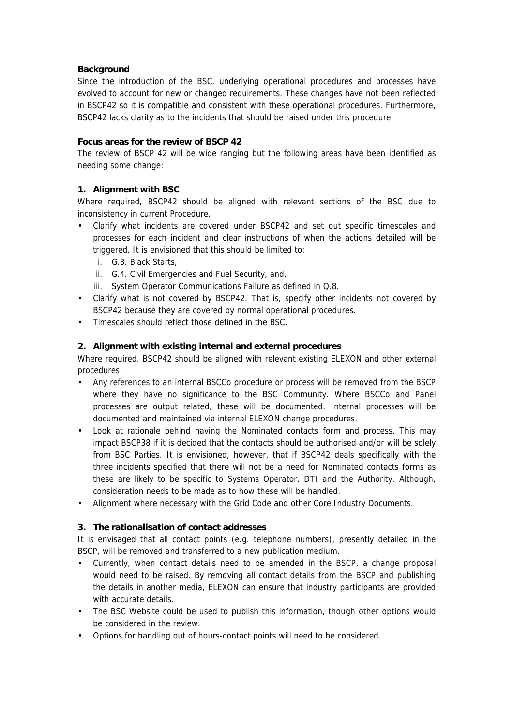### **Background**

Since the introduction of the BSC, underlying operational procedures and processes have evolved to account for new or changed requirements. These changes have not been reflected in BSCP42 so it is compatible and consistent with these operational procedures. Furthermore, BSCP42 lacks clarity as to the incidents that should be raised under this procedure.

#### **Focus areas for the review of BSCP 42**

The review of BSCP 42 will be wide ranging but the following areas have been identified as needing some change:

# **1. Alignment with BSC**

Where required, BSCP42 should be aligned with relevant sections of the BSC due to inconsistency in current Procedure.

- Clarify what incidents are covered under BSCP42 and set out specific timescales and processes for each incident and clear instructions of when the actions detailed will be triggered. It is envisioned that this should be limited to:
	- i. G.3. Black Starts,
	- ii. G.4. Civil Emergencies and Fuel Security, and,
	- iii. System Operator Communications Failure as defined in Q.8.
- Clarify what is not covered by BSCP42. That is, specify other incidents not covered by BSCP42 because they are covered by normal operational procedures.
- Timescales should reflect those defined in the BSC.

### **2. Alignment with existing internal and external procedures**

Where required, BSCP42 should be aligned with relevant existing ELEXON and other external procedures.

- Any references to an internal BSCCo procedure or process will be removed from the BSCP where they have no significance to the BSC Community. Where BSCCo and Panel processes are output related, these will be documented. Internal processes will be documented and maintained via internal ELEXON change procedures.
- Look at rationale behind having the Nominated contacts form and process. This may impact BSCP38 if it is decided that the contacts should be authorised and/or will be solely from BSC Parties. It is envisioned, however, that if BSCP42 deals specifically with the three incidents specified that there will not be a need for Nominated contacts forms as these are likely to be specific to Systems Operator, DTI and the Authority. Although, consideration needs to be made as to how these will be handled.
- Alignment where necessary with the Grid Code and other Core Industry Documents.

# **3. The rationalisation of contact addresses**

It is envisaged that all contact points (e.g. telephone numbers), presently detailed in the BSCP, will be removed and transferred to a new publication medium.

- Currently, when contact details need to be amended in the BSCP, a change proposal would need to be raised. By removing all contact details from the BSCP and publishing the details in another media, ELEXON can ensure that industry participants are provided with accurate details.
- The BSC Website could be used to publish this information, though other options would be considered in the review.
- Options for handling out of hours-contact points will need to be considered.